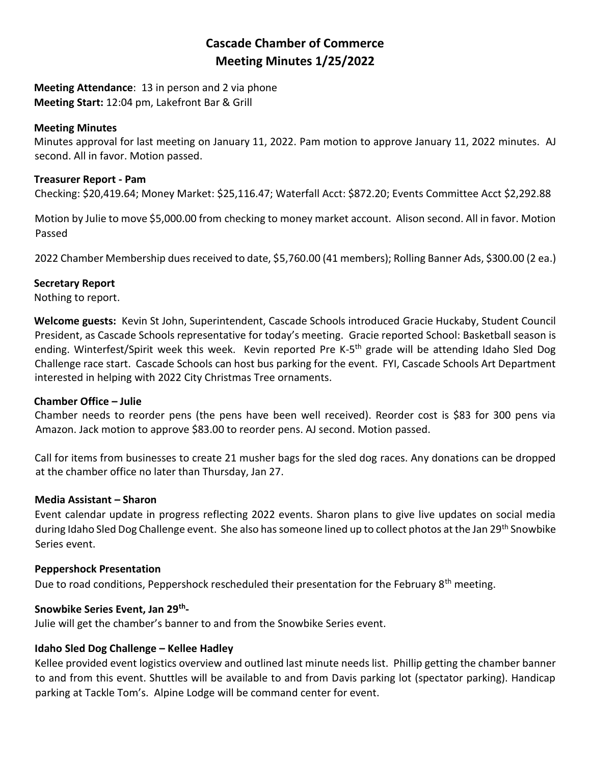# **Cascade Chamber of Commerce Meeting Minutes 1/25/2022**

**Meeting Attendance**: 13 in person and 2 via phone **Meeting Start:** 12:04 pm, Lakefront Bar & Grill

# **Meeting Minutes**

Minutes approval for last meeting on January 11, 2022. Pam motion to approve January 11, 2022 minutes. AJ second. All in favor. Motion passed.

# **Treasurer Report - Pam**

Checking: \$20,419.64; Money Market: \$25,116.47; Waterfall Acct: \$872.20; Events Committee Acct \$2,292.88

Motion by Julie to move \$5,000.00 from checking to money market account. Alison second. All in favor. Motion Passed

2022 Chamber Membership dues received to date, \$5,760.00 (41 members); Rolling Banner Ads, \$300.00 (2 ea.)

### **Secretary Report**

Nothing to report.

**Welcome guests:** Kevin St John, Superintendent, Cascade Schools introduced Gracie Huckaby, Student Council President, as Cascade Schools representative for today's meeting. Gracie reported School: Basketball season is ending. Winterfest/Spirit week this week. Kevin reported Pre K-5<sup>th</sup> grade will be attending Idaho Sled Dog Challenge race start. Cascade Schools can host bus parking for the event. FYI, Cascade Schools Art Department interested in helping with 2022 City Christmas Tree ornaments.

### **Chamber Office – Julie**

Chamber needs to reorder pens (the pens have been well received). Reorder cost is \$83 for 300 pens via Amazon. Jack motion to approve \$83.00 to reorder pens. AJ second. Motion passed.

Call for items from businesses to create 21 musher bags for the sled dog races. Any donations can be dropped at the chamber office no later than Thursday, Jan 27.

### **Media Assistant – Sharon**

Event calendar update in progress reflecting 2022 events. Sharon plans to give live updates on social media during Idaho Sled Dog Challenge event. She also has someone lined up to collect photos at the Jan 29<sup>th</sup> Snowbike Series event.

### **Peppershock Presentation**

Due to road conditions, Peppershock rescheduled their presentation for the February 8<sup>th</sup> meeting.

# **Snowbike Series Event, Jan 29th -**

Julie will get the chamber's banner to and from the Snowbike Series event.

# **Idaho Sled Dog Challenge – Kellee Hadley**

Kellee provided event logistics overview and outlined last minute needs list. Phillip getting the chamber banner to and from this event. Shuttles will be available to and from Davis parking lot (spectator parking). Handicap parking at Tackle Tom's. Alpine Lodge will be command center for event.